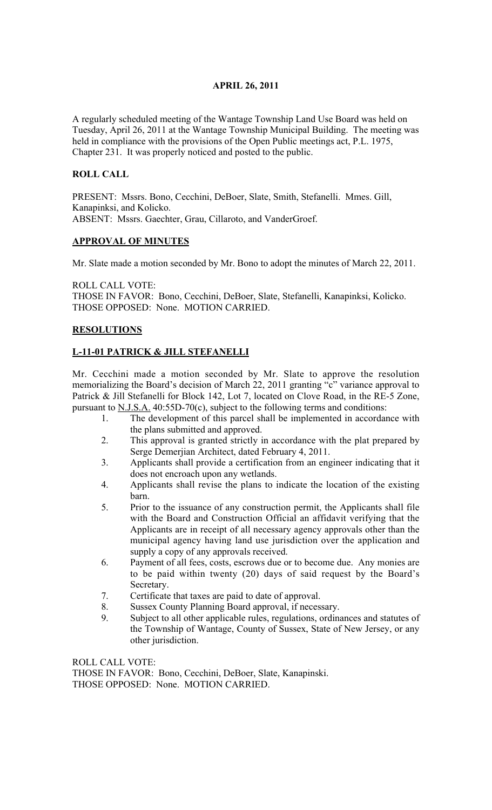## APRIL 26, 2011

A regularly scheduled meeting of the Wantage Township Land Use Board was held on Tuesday, April 26, 2011 at the Wantage Township Municipal Building. The meeting was held in compliance with the provisions of the Open Public meetings act, P.L. 1975, Chapter 231. It was properly noticed and posted to the public.

#### ROLL CALL

PRESENT: Mssrs. Bono, Cecchini, DeBoer, Slate, Smith, Stefanelli. Mmes. Gill, Kanapinksi, and Kolicko. ABSENT: Mssrs. Gaechter, Grau, Cillaroto, and VanderGroef.

#### APPROVAL OF MINUTES

Mr. Slate made a motion seconded by Mr. Bono to adopt the minutes of March 22, 2011.

ROLL CALL VOTE: THOSE IN FAVOR: Bono, Cecchini, DeBoer, Slate, Stefanelli, Kanapinksi, Kolicko. THOSE OPPOSED: None. MOTION CARRIED.

### **RESOLUTIONS**

## L-11-01 PATRICK & JILL STEFANELLI

Mr. Cecchini made a motion seconded by Mr. Slate to approve the resolution memorializing the Board's decision of March 22, 2011 granting "c" variance approval to Patrick & Jill Stefanelli for Block 142, Lot 7, located on Clove Road, in the RE-5 Zone, pursuant to  $N.J.S.A.$  40:55D-70(c), subject to the following terms and conditions:

- 1. The development of this parcel shall be implemented in accordance with the plans submitted and approved.
- 2. This approval is granted strictly in accordance with the plat prepared by Serge Demerjian Architect, dated February 4, 2011.
- 3. Applicants shall provide a certification from an engineer indicating that it does not encroach upon any wetlands.
- 4. Applicants shall revise the plans to indicate the location of the existing barn.
- 5. Prior to the issuance of any construction permit, the Applicants shall file with the Board and Construction Official an affidavit verifying that the Applicants are in receipt of all necessary agency approvals other than the municipal agency having land use jurisdiction over the application and supply a copy of any approvals received.
- 6. Payment of all fees, costs, escrows due or to become due. Any monies are to be paid within twenty (20) days of said request by the Board's Secretary.
- 7. Certificate that taxes are paid to date of approval.
- 8. Sussex County Planning Board approval, if necessary.
- 9. Subject to all other applicable rules, regulations, ordinances and statutes of the Township of Wantage, County of Sussex, State of New Jersey, or any other jurisdiction.

ROLL CALL VOTE: THOSE IN FAVOR: Bono, Cecchini, DeBoer, Slate, Kanapinski. THOSE OPPOSED: None. MOTION CARRIED.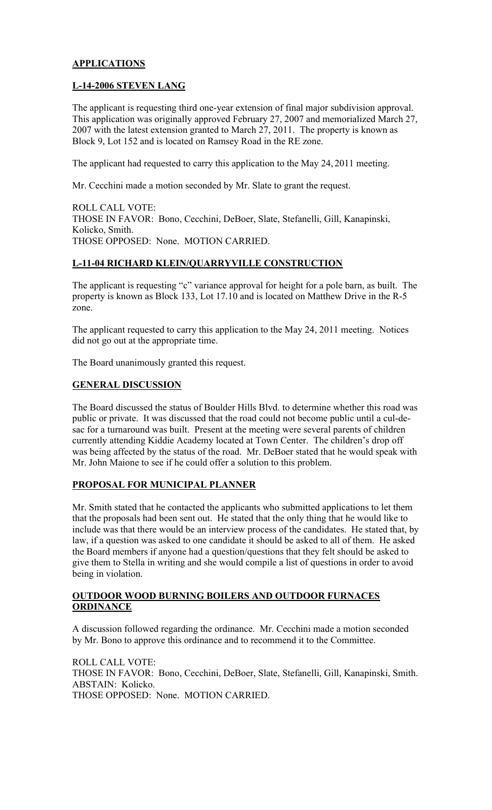## APPLICATIONS

### L-14-2006 STEVEN LANG

The applicant is requesting third one-year extension of final major subdivision approval. This application was originally approved February 27, 2007 and memorialized March 27, 2007 with the latest extension granted to March 27, 2011. The property is known as Block 9, Lot 152 and is located on Ramsey Road in the RE zone.

The applicant had requested to carry this application to the May 24, 2011 meeting.

Mr. Cecchini made a motion seconded by Mr. Slate to grant the request.

ROLL CALL VOTE: THOSE IN FAVOR: Bono, Cecchini, DeBoer, Slate, Stefanelli, Gill, Kanapinski, Kolicko, Smith. THOSE OPPOSED: None. MOTION CARRIED.

## L-11-04 RICHARD KLEIN/QUARRYVILLE CONSTRUCTION

The applicant is requesting "c" variance approval for height for a pole barn, as built. The property is known as Block 133, Lot 17.10 and is located on Matthew Drive in the R-5 zone.

The applicant requested to carry this application to the May 24, 2011 meeting. Notices did not go out at the appropriate time.

The Board unanimously granted this request.

#### GENERAL DISCUSSION

The Board discussed the status of Boulder Hills Blvd. to determine whether this road was public or private. It was discussed that the road could not become public until a cul-desac for a turnaround was built. Present at the meeting were several parents of children currently attending Kiddie Academy located at Town Center. The children's drop off was being affected by the status of the road. Mr. DeBoer stated that he would speak with Mr. John Maione to see if he could offer a solution to this problem.

#### PROPOSAL FOR MUNICIPAL PLANNER

Mr. Smith stated that he contacted the applicants who submitted applications to let them that the proposals had been sent out. He stated that the only thing that he would like to include was that there would be an interview process of the candidates. He stated that, by law, if a question was asked to one candidate it should be asked to all of them. He asked the Board members if anyone had a question/questions that they felt should be asked to give them to Stella in writing and she would compile a list of questions in order to avoid being in violation.

#### OUTDOOR WOOD BURNING BOILERS AND OUTDOOR FURNACES **ORDINANCE**

A discussion followed regarding the ordinance. Mr. Cecchini made a motion seconded by Mr. Bono to approve this ordinance and to recommend it to the Committee.

ROLL CALL VOTE: THOSE IN FAVOR: Bono, Cecchini, DeBoer, Slate, Stefanelli, Gill, Kanapinski, Smith. ABSTAIN: Kolicko. THOSE OPPOSED: None. MOTION CARRIED.